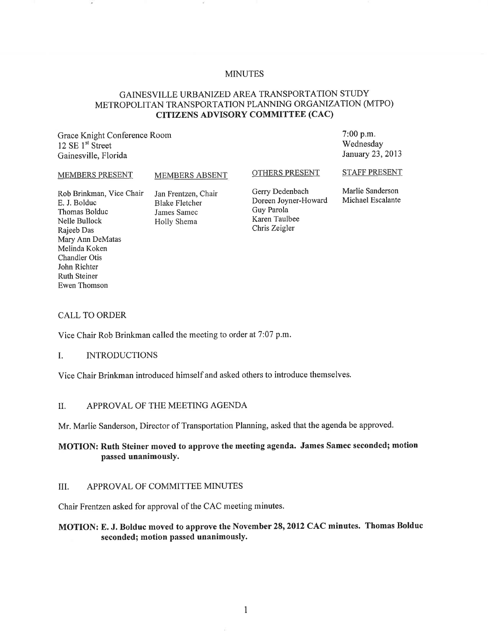#### MINUTES

# GAINESVILLE URBANIZED AREA TRANSPORTATION STUDY METROPOLITAN TRANSPORTATION PLANNING ORGANIZATION (MTPO) CITIZENS ADVISORY COMMITTEE (CAC)

Grace Knight Conference Room 12 SE 1<sup>st</sup> Street Gainesville, Florida

MEMBERS ABSENT

OTHERS PRESENT

STAFF PRESENT

7:00 p.m. Wednesday January 23,2013

Rob Brinkman, Vice Chair E. J. Bolduc Thomas Bolduc Nelle Bullock Rajeeb Das Mary Ann DeMatas Melinda Koken Chandler Otis John Richter Ruth Steiner Ewen Thomson

MEMBERS PRESENT

Jan Frentzen, Chair Blake Fletcher James Samec Holly Shema

Gerry Dedenbach Doreen Joyner-Howard Guy Parola Karen Taulbee Chris Zeigler

Marlie Sanderson Michael Escalante

#### CALL TO ORDER

Vice Chair Rob Brinkman called the meeting to order at 7:07 p.m.

#### 1. INTRODUCTIONS

Vice Chair Brinkman introduced himself and asked others to introduce themselves.

#### II. APPROVAL OF THE MEETING AGENDA

Mr. Marlie Sanderson, Director of Transportation Planning, asked that the agenda be approved.

# MOTION: **Ruth** Steiner moved to approve the meeting agenda. James Samec seconded; motion passed unanimously.

#### III. APPROVAL OF COMMITTEE MINUTES

Chair Frentzen asked for approval of the CAC meeting minutes.

#### MOTION: E. J. Bolduc moved to approve the November 28, 2012 CAC minutes. Thomas Bolduc seconded; motion passed unanimously.

1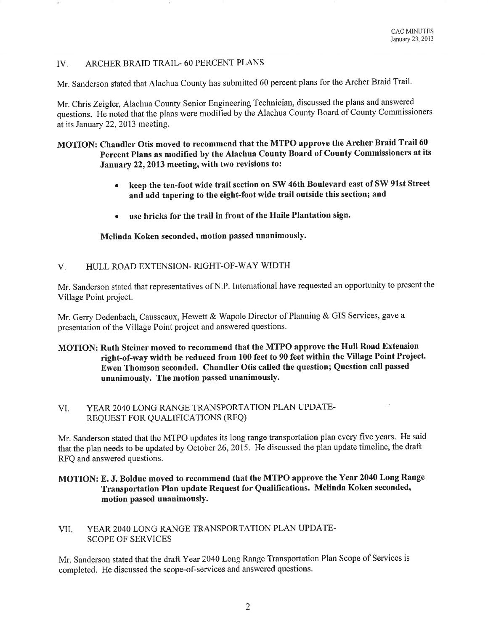#### IV. ARCHER BRAID TRAIL- 60 PERCENT PLANS

Mr. Sanderson stated that Alachua County has submitted 60 percent plans for the Archer Braid Trail.

Mr. Chris Zeigler, Alachua County Senior Engineering Technician, discussed the plans and answered questions. He noted that the plans were modified by the Alachua County Board of County Commissioners at its January 22, 2013 meeting.

### MOTION: Chandler Otis moved to recommend that the MTPO approve the Archer Braid Trail 60 Percent Plans as modified by the Alachua County Board of County Commissioners at its January 22, 2013 meeting, with two revisions to:

- keep the ten-foot wide trail section on SW 46th Boulevard east of SW 91st Street and add tapering to the eight-foot wide trail outside this section; and
- use bricks for the trail in front of the Haile Plantation sign.

Melinda Koken seconded, motion passed unanimously.

V. HULL ROAD EXTENSION- RIGHT-OF-WAY WIDTH

Mr. Sanderson stated that representatives of N.P. International have requested an opportunity to present the Village Point project.

Mr. Gerry Dedenbach, Causseaux, Hewett & Wapole Director of Planning & GIS Services, gave a presentation of the Village Point project and answered questions.

### MOTION: Ruth Steiner moved to recommend that the MTPO approve the Hull Road Extension right-of-way width be reduced from 100 feet to 90 feet within the Village Point Project. Ewen Thomson seconded. Chandler Otis called the question; Question call passed unanimously. The motion passed unanimously.

### VI. YEAR 2040 LONG RANGE TRANSPORTATION PLAN UPDATE-REQUEST FOR QUALIFICATIONS (RFQ)

Mr. Sanderson stated that the MTPO updates its long range transportation plan every five years. He said that the plan needs to be updated by October 26, 2015. He discussed the plan update timeline, the draft RFQ and answered questions.

### MOTION: E. J. Bolduc moved to recommend that the MTPO approve the Year 2040 Long Range Transportation Plan update Request for Qualifications. Melinda Koken seconded, motion passed unanimously.

### VII. YEAR 2040 LONG RANGE TRANSPORTATION PLAN UPDATE-SCOPE OF SERVICES

Mr. Sanderson stated that the draft Year 2040 Long Range Transportation Plan Scope of Services is completed. He discussed the scope-of-services and answered questions.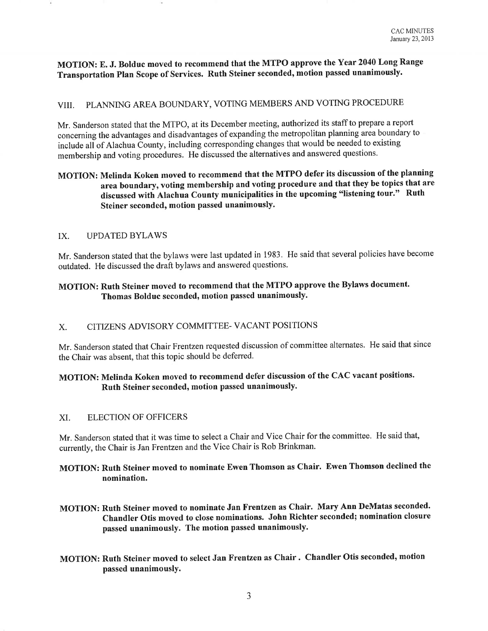MOTION: E. J. Bolduc moved to recommend that the MTPO approve the Year 2040 Long Range Transportation Plan Scope of Services. Ruth Steiner seconded, motion passed unanimously.

# VIII. PLANNING AREA BOUNDARY, VOTING MEMBERS AND VOTING PROCEDURE

Mr. Sanderson stated that the MTPO, at its December meeting, authorized its staff to prepare a report concerning the advantages and disadvantages of expanding the metropolitan planning area boundary to include all of Alachua County, including corresponding changes that would be needed to existing membership and voting procedures. He discussed the alternatives and answered questions.

# MOTION: Melinda Koken moved to recommend that the MTPO defer its discussion of the planning area boundary, voting membership and voting procedure and that they be topics that are discussed with Alachua County municipalities in the upcoming "listening tour." Ruth Steiner seconded, motion passed unanimously.

#### IX. UPDATED BYLAWS

Mr. Sanderson stated that the bylaws were last updated in 1983. He said that several policies have become outdated. He discussed the draft bylaws and answered questions.

# MOTION: Ruth Steiner moved to recommend that the MTPO approve the Bylaws document. Thomas Bolduc seconded, motion passed unanimously.

#### X. CITIZENS ADVISORY COMMITTEE- VACANT POSITIONS

Mr. Sanderson stated that Chair Frentzen requested discussion of committee alternates. He said that since the Chair was absent, that this topic should be deferred.

# MOTION: Melinda Koken moved to recommend defer discussion of the CAC vacant positions. Ruth Steiner seconded, motion passed unanimously.

#### XI. ELECTION OF OFFICERS

Mr. Sanderson stated that it was time to select a Chair and Vice Chair for the committee. He said that, currently, the Chair is Jan Frentzen and the Vice Chair is Rob Brinkman.

# MOTION: Ruth Steiner moved to nominate Ewen Thomson as Chair. Ewen Thomson declined the nomination.

- MOTION: Ruth Steiner moved to nominate Jan Frentzen as Chair. Mary Ann DeMatas seconded. Chandler Otis moved to close nominations. John Richter seconded; nomination closure passed unanimously. The motion passed unanimously.
- MOTION: Ruth Steiner moved to select Jan Frentzen as Chair. Chandler Otis seconded, motion passed unanimously.